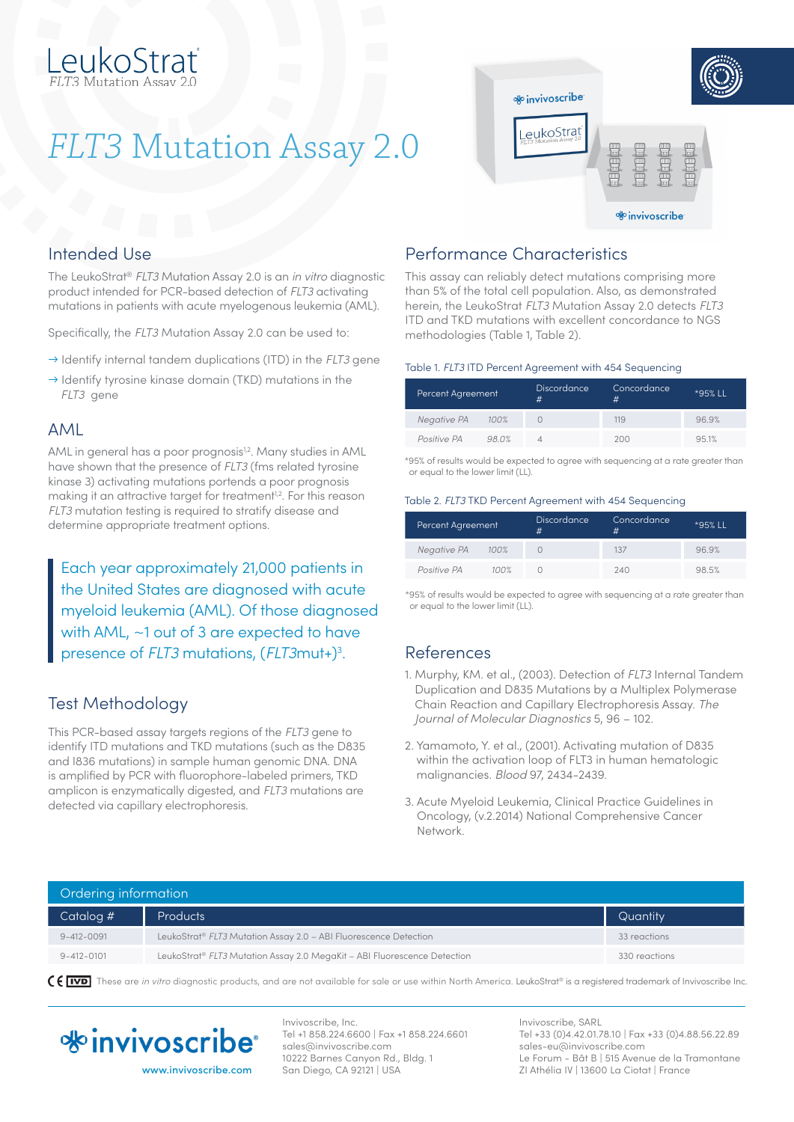# eukoStrať

## *FLT3* Mutation Assay 2.0



## Intended Use

The LeukoStrat® *FLT3* Mutation Assay 2.0 is an *in vitro* diagnostic product intended for PCR-based detection of *FLT3* activating mutations in patients with acute myelogenous leukemia (AML).

Specifically, the *FLT3* Mutation Assay 2.0 can be used to:

- → Identify internal tandem duplications (ITD) in the *FLT3* gene
- $\rightarrow$  Identify tyrosine kinase domain (TKD) mutations in the *FLT3* gene

### AML

AML in general has a poor prognosis<sup>1,2</sup>. Many studies in AML have shown that the presence of *FLT3* (fms related tyrosine kinase 3) activating mutations portends a poor prognosis making it an attractive target for treatment<sup>1,2</sup>. For this reason *FLT3* mutation testing is required to stratify disease and determine appropriate treatment options.

Each year approximately 21,000 patients in the United States are diagnosed with acute myeloid leukemia (AML). Of those diagnosed with AML, ~1 out of 3 are expected to have presence of *FLT3* mutations, (*FLT3* mut+)<sup>3</sup>.

## Test Methodology

This PCR-based assay targets regions of the *FLT3* gene to identify ITD mutations and TKD mutations (such as the D835 and I836 mutations) in sample human genomic DNA. DNA is amplified by PCR with fluorophore-labeled primers, TKD amplicon is enzymatically digested, and *FLT3* mutations are detected via capillary electrophoresis.

## Performance Characteristics

This assay can reliably detect mutations comprising more than 5% of the total cell population. Also, as demonstrated herein, the LeukoStrat *FLT3* Mutation Assay 2.0 detects *FLT3* ITD and TKD mutations with excellent concordance to NGS methodologies (Table 1, Table 2).

#### Table 1. *FLT3* ITD Percent Agreement with 454 Sequencing

| Percent Agreement |      | <b>Discordance</b><br>$^{\scriptscriptstyle\#}$ | Concordance<br># | $*95%11$ |
|-------------------|------|-------------------------------------------------|------------------|----------|
| Negative PA       | 100% |                                                 | 119              | 96.9%    |
| Positive PA       | 980% |                                                 | 200              | 951%     |

\*95% of results would be expected to agree with sequencing at a rate greater than or equal to the lower limit (LL).

#### Table 2. *FLT3* TKD Percent Agreement with 454 Sequencing

| Percent Agreement |         | Discordance | Concordance<br># | *95% LL |
|-------------------|---------|-------------|------------------|---------|
| Negative PA       | -- 100% |             | 137              | 96.9%   |
| Positive PA       | 100%    |             | 240              | 98.5%   |

\*95% of results would be expected to agree with sequencing at a rate greater than or equal to the lower limit (LL).

## References

- 1. Murphy, KM. et al., (2003). Detection of *FLT3* Internal Tandem Duplication and D835 Mutations by a Multiplex Polymerase Chain Reaction and Capillary Electrophoresis Assay. *The Journal of Molecular Diagnostics* 5, 96 – 102.
- 2. Yamamoto, Y. et al., (2001). Activating mutation of D835 within the activation loop of FLT3 in human hematologic malignancies. *Blood* 97, 2434-2439.
- 3. Acute Myeloid Leukemia, Clinical Practice Guidelines in Oncology, (v.2.2014) National Comprehensive Cancer Network.

| Ordering information |                                                                                      |               |  |  |
|----------------------|--------------------------------------------------------------------------------------|---------------|--|--|
| Catalog #            | <b>Products</b>                                                                      | Quantity      |  |  |
| $9 - 412 - 0091$     | LeukoStrat <sup>®</sup> FLT3 Mutation Assay 2.0 - ABI Fluorescence Detection         | 33 reactions  |  |  |
| $9 - 412 - 0101$     | LeukoStrat <sup>®</sup> FLT3 Mutation Assay 2.0 MegaKit - ABI Fluorescence Detection | 330 reactions |  |  |

C € **TVD** These are *in vitro* diagnostic products, and are not available for sale or use within North America. LeukoStrat® is a registered trademark of Invivoscribe Inc.



Invivoscribe, Inc. Tel +1 858.224.6600 | Fax +1 858.224.6601 sales@invivoscribe.com 10222 Barnes Canyon Rd., Bldg. 1 San Diego, CA 92121 | USA

Invivoscribe, SARL Tel +33 (0)4.42.01.78.10 | Fax +33 (0)4.88.56.22.89 sales-eu@invivoscribe.com Le Forum - Bât B | 515 Avenue de la Tramontane ZI Athélia IV | 13600 La Ciotat | France